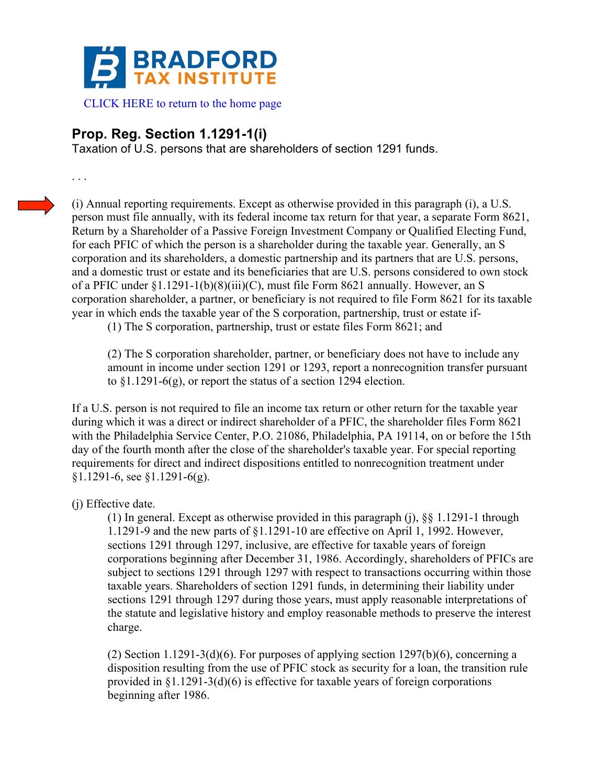

## **Prop. Reg. Section 1.1291-1(i)**

Taxation of U.S. persons that are shareholders of section 1291 funds.

. . .

(i) Annual reporting requirements. Except as otherwise provided in this paragraph (i), a U.S. person must file annually, with its federal income tax return for that year, a separate Form 8621, Return by a Shareholder of a Passive Foreign Investment Company or Qualified Electing Fund, for each PFIC of which the person is a shareholder during the taxable year. Generally, an S corporation and its shareholders, a domestic partnership and its partners that are U.S. persons, and a domestic trust or estate and its beneficiaries that are U.S. persons considered to own stock of a PFIC under §1.1291-1(b)(8)(iii)(C), must file Form 8621 annually. However, an S corporation shareholder, a partner, or beneficiary is not required to file Form 8621 for its taxable year in which ends the taxable year of the S corporation, partnership, trust or estate if-

(1) The S corporation, partnership, trust or estate files Form 8621; and

(2) The S corporation shareholder, partner, or beneficiary does not have to include any amount in income under section 1291 or 1293, report a nonrecognition transfer pursuant to §1.1291-6(g), or report the status of a section 1294 election.

If a U.S. person is not required to file an income tax return or other return for the taxable year during which it was a direct or indirect shareholder of a PFIC, the shareholder files Form 8621 with the Philadelphia Service Center, P.O. 21086, Philadelphia, PA 19114, on or before the 15th day of the fourth month after the close of the shareholder's taxable year. For special reporting requirements for direct and indirect dispositions entitled to nonrecognition treatment under §1.1291-6, see §1.1291-6(g).

(j) Effective date.

(1) In general. Except as otherwise provided in this paragraph (j), §§ 1.1291-1 through 1.1291-9 and the new parts of §1.1291-10 are effective on April 1, 1992. However, sections 1291 through 1297, inclusive, are effective for taxable years of foreign corporations beginning after December 31, 1986. Accordingly, shareholders of PFICs are subject to sections 1291 through 1297 with respect to transactions occurring within those taxable years. Shareholders of section 1291 funds, in determining their liability under sections 1291 through 1297 during those years, must apply reasonable interpretations of the statute and legislative history and employ reasonable methods to preserve the interest charge.

(2) Section 1.1291-3(d)(6). For purposes of applying section 1297(b)(6), concerning a disposition resulting from the use of PFIC stock as security for a loan, the transition rule provided in §1.1291-3(d)(6) is effective for taxable years of foreign corporations beginning after 1986.